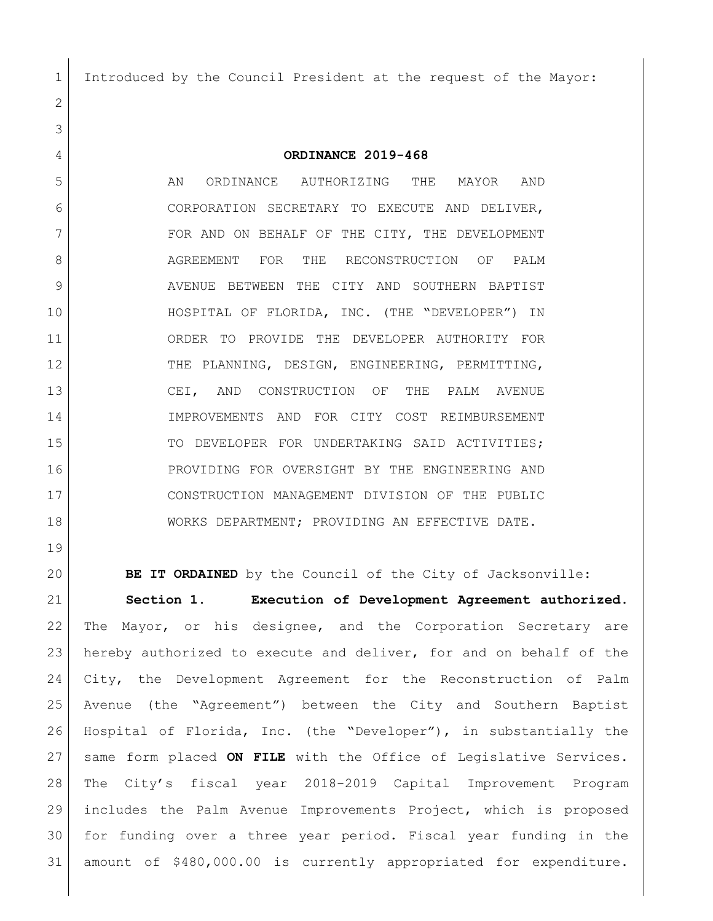Introduced by the Council President at the request of the Mayor:

**ORDINANCE 2019-468**

 AN ORDINANCE AUTHORIZING THE MAYOR AND CORPORATION SECRETARY TO EXECUTE AND DELIVER, 7 | FOR AND ON BEHALF OF THE CITY, THE DEVELOPMENT 8 AGREEMENT FOR THE RECONSTRUCTION OF PALM 9 AVENUE BETWEEN THE CITY AND SOUTHERN BAPTIST HOSPITAL OF FLORIDA, INC. (THE "DEVELOPER") IN ORDER TO PROVIDE THE DEVELOPER AUTHORITY FOR 12 THE PLANNING, DESIGN, ENGINEERING, PERMITTING, CEI, AND CONSTRUCTION OF THE PALM AVENUE IMPROVEMENTS AND FOR CITY COST REIMBURSEMENT 15 TO DEVELOPER FOR UNDERTAKING SAID ACTIVITIES; PROVIDING FOR OVERSIGHT BY THE ENGINEERING AND CONSTRUCTION MANAGEMENT DIVISION OF THE PUBLIC WORKS DEPARTMENT; PROVIDING AN EFFECTIVE DATE.

**BE IT ORDAINED** by the Council of the City of Jacksonville:

 **Section 1. Execution of Development Agreement authorized**. The Mayor, or his designee, and the Corporation Secretary are hereby authorized to execute and deliver, for and on behalf of the City, the Development Agreement for the Reconstruction of Palm Avenue (the "Agreement") between the City and Southern Baptist Hospital of Florida, Inc. (the "Developer"), in substantially the same form placed **ON FILE** with the Office of Legislative Services. The City's fiscal year 2018-2019 Capital Improvement Program includes the Palm Avenue Improvements Project, which is proposed for funding over a three year period. Fiscal year funding in the amount of \$480,000.00 is currently appropriated for expenditure.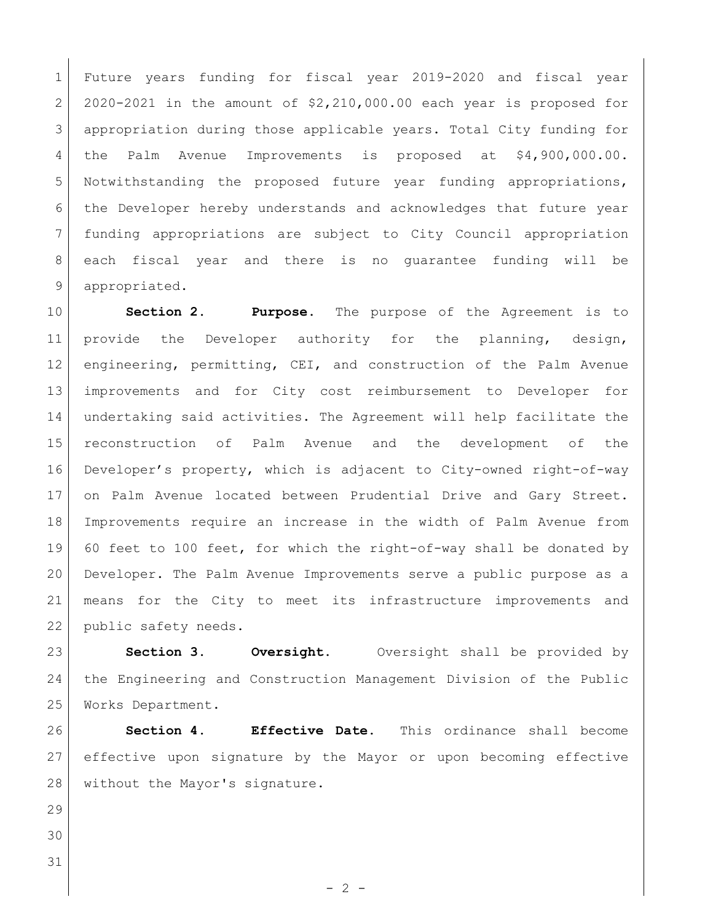Future years funding for fiscal year 2019-2020 and fiscal year 2 2020-2021 in the amount of  $$2,210,000.00$  each year is proposed for appropriation during those applicable years. Total City funding for the Palm Avenue Improvements is proposed at \$4,900,000.00. 5 Notwithstanding the proposed future year funding appropriations, the Developer hereby understands and acknowledges that future year funding appropriations are subject to City Council appropriation each fiscal year and there is no guarantee funding will be 9 appropriated.

 **Section 2. Purpose**. The purpose of the Agreement is to 11 provide the Developer authority for the planning, design, engineering, permitting, CEI, and construction of the Palm Avenue improvements and for City cost reimbursement to Developer for undertaking said activities. The Agreement will help facilitate the reconstruction of Palm Avenue and the development of the Developer's property, which is adjacent to City-owned right-of-way 17 on Palm Avenue located between Prudential Drive and Gary Street. Improvements require an increase in the width of Palm Avenue from 60 feet to 100 feet, for which the right-of-way shall be donated by Developer. The Palm Avenue Improvements serve a public purpose as a means for the City to meet its infrastructure improvements and 22 public safety needs.

 **Section 3. Oversight.** Oversight shall be provided by the Engineering and Construction Management Division of the Public Works Department.

 **Section 4. Effective Date.** This ordinance shall become effective upon signature by the Mayor or upon becoming effective 28 without the Mayor's signature.

 $-2 -$